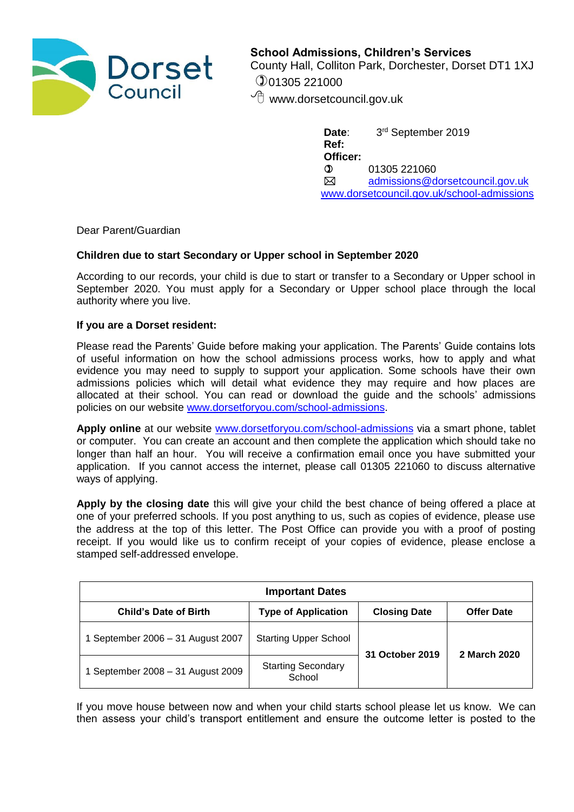

**School Admissions, Children's Services** County Hall, Colliton Park, Dorchester, Dorset DT1 1XJ 01305 221000

*f* www.dorsetcouncil.gov.uk

Date: 3rd September 2019 **Ref: Officer:**  $0 \qquad 01305\,221060$  [admissions@dorsetcouncil.gov.uk](mailto:admissions@dorsetcouncil.gov.uk) [www.dorsetcouncil.gov.uk/school-admissions](http://www.dorsetcouncil.gov.uk/school-admissions)

Dear Parent/Guardian

## **Children due to start Secondary or Upper school in September 2020**

According to our records, your child is due to start or transfer to a Secondary or Upper school in September 2020. You must apply for a Secondary or Upper school place through the local authority where you live.

## **If you are a Dorset resident:**

Please read the Parents' Guide before making your application. The Parents' Guide contains lots of useful information on how the school admissions process works, how to apply and what evidence you may need to supply to support your application. Some schools have their own admissions policies which will detail what evidence they may require and how places are allocated at their school. You can read or download the guide and the schools' admissions policies on our website [www.dorsetforyou.com/school-admissions.](http://www.dorsetforyou.com/school-admissions)

**Apply online** at our website [www.dorsetforyou.com/school-admissions](http://www.dorsetforyou.com/school-admissions) via a smart phone, tablet or computer. You can create an account and then complete the application which should take no longer than half an hour. You will receive a confirmation email once you have submitted your application. If you cannot access the internet, please call 01305 221060 to discuss alternative ways of applying.

**Apply by the closing date** this will give your child the best chance of being offered a place at one of your preferred schools. If you post anything to us, such as copies of evidence, please use the address at the top of this letter. The Post Office can provide you with a proof of posting receipt. If you would like us to confirm receipt of your copies of evidence, please enclose a stamped self-addressed envelope.

| <b>Important Dates</b>            |                                     |                     |                   |
|-----------------------------------|-------------------------------------|---------------------|-------------------|
| <b>Child's Date of Birth</b>      | <b>Type of Application</b>          | <b>Closing Date</b> | <b>Offer Date</b> |
| September 2006 - 31 August 2007   | <b>Starting Upper School</b>        | 31 October 2019     | 2 March 2020      |
| 1 September 2008 - 31 August 2009 | <b>Starting Secondary</b><br>School |                     |                   |

If you move house between now and when your child starts school please let us know. We can then assess your child's transport entitlement and ensure the outcome letter is posted to the